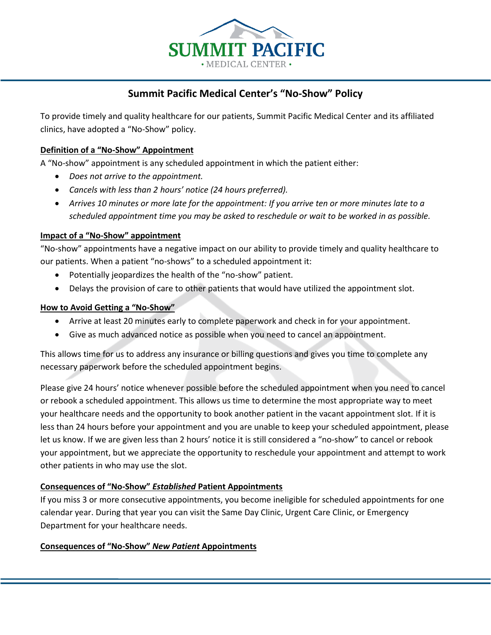

# **Summit Pacific Medical Center's "No-Show" Policy**

To provide timely and quality healthcare for our patients, Summit Pacific Medical Center and its affiliated clinics, have adopted a "No-Show" policy.

## **Definition of a "No-Show" Appointment**

A "No-show" appointment is any scheduled appointment in which the patient either:

- *Does not arrive to the appointment.*
- *Cancels with less than 2 hours' notice (24 hours preferred).*
- *Arrives 10 minutes or more late for the appointment: If you arrive ten or more minutes late to a scheduled appointment time you may be asked to reschedule or wait to be worked in as possible.*

### **Impact of a "No-Show" appointment**

"No-show" appointments have a negative impact on our ability to provide timely and quality healthcare to our patients. When a patient "no-shows" to a scheduled appointment it:

- Potentially jeopardizes the health of the "no-show" patient.
- Delays the provision of care to other patients that would have utilized the appointment slot.

### **How to Avoid Getting a "No-Show"**

- Arrive at least 20 minutes early to complete paperwork and check in for your appointment.
- Give as much advanced notice as possible when you need to cancel an appointment.

This allows time for us to address any insurance or billing questions and gives you time to complete any necessary paperwork before the scheduled appointment begins.

Please give 24 hours' notice whenever possible before the scheduled appointment when you need to cancel or rebook a scheduled appointment. This allows us time to determine the most appropriate way to meet your healthcare needs and the opportunity to book another patient in the vacant appointment slot. If it is less than 24 hours before your appointment and you are unable to keep your scheduled appointment, please let us know. If we are given less than 2 hours' notice it is still considered a "no-show" to cancel or rebook your appointment, but we appreciate the opportunity to reschedule your appointment and attempt to work other patients in who may use the slot.

### **Consequences of "No-Show"** *Established* **Patient Appointments**

If you miss 3 or more consecutive appointments, you become ineligible for scheduled appointments for one calendar year. During that year you can visit the Same Day Clinic, Urgent Care Clinic, or Emergency Department for your healthcare needs.

### **Consequences of "No-Show"** *New Patient* **Appointments**